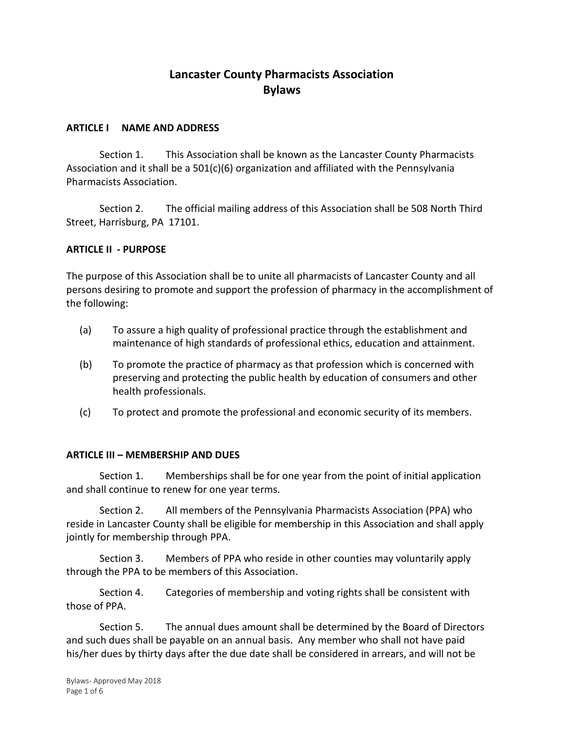# **Lancaster County Pharmacists Association Bylaws**

#### **ARTICLE I NAME AND ADDRESS**

Section 1. This Association shall be known as the Lancaster County Pharmacists Association and it shall be a  $501(c)(6)$  organization and affiliated with the Pennsylvania Pharmacists Association.

Section 2. The official mailing address of this Association shall be 508 North Third Street, Harrisburg, PA 17101.

#### **ARTICLE II - PURPOSE**

The purpose of this Association shall be to unite all pharmacists of Lancaster County and all persons desiring to promote and support the profession of pharmacy in the accomplishment of the following:

- (a) To assure a high quality of professional practice through the establishment and maintenance of high standards of professional ethics, education and attainment.
- (b) To promote the practice of pharmacy as that profession which is concerned with preserving and protecting the public health by education of consumers and other health professionals.
- (c) To protect and promote the professional and economic security of its members.

#### **ARTICLE III – MEMBERSHIP AND DUES**

Section 1. Memberships shall be for one year from the point of initial application and shall continue to renew for one year terms.

Section 2. All members of the Pennsylvania Pharmacists Association (PPA) who reside in Lancaster County shall be eligible for membership in this Association and shall apply jointly for membership through PPA.

Section 3. Members of PPA who reside in other counties may voluntarily apply through the PPA to be members of this Association.

Section 4. Categories of membership and voting rights shall be consistent with those of PPA.

Section 5. The annual dues amount shall be determined by the Board of Directors and such dues shall be payable on an annual basis. Any member who shall not have paid his/her dues by thirty days after the due date shall be considered in arrears, and will not be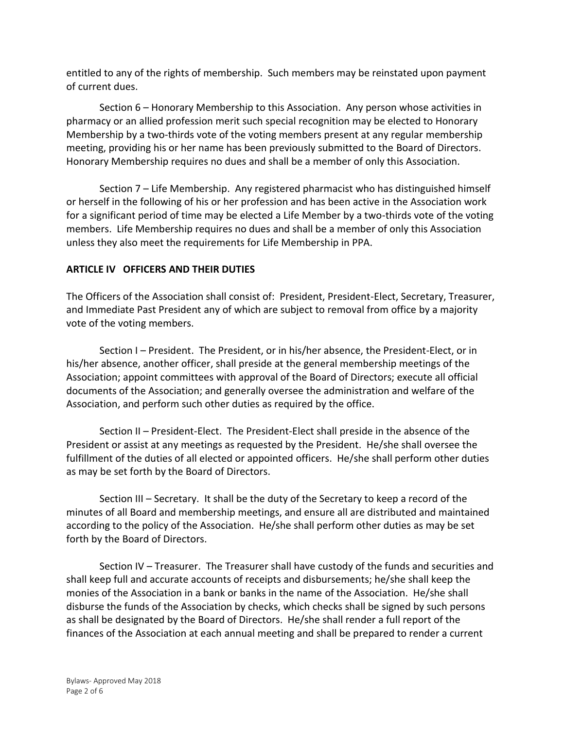entitled to any of the rights of membership. Such members may be reinstated upon payment of current dues.

Section 6 – Honorary Membership to this Association. Any person whose activities in pharmacy or an allied profession merit such special recognition may be elected to Honorary Membership by a two-thirds vote of the voting members present at any regular membership meeting, providing his or her name has been previously submitted to the Board of Directors. Honorary Membership requires no dues and shall be a member of only this Association.

Section 7 – Life Membership. Any registered pharmacist who has distinguished himself or herself in the following of his or her profession and has been active in the Association work for a significant period of time may be elected a Life Member by a two-thirds vote of the voting members. Life Membership requires no dues and shall be a member of only this Association unless they also meet the requirements for Life Membership in PPA.

# **ARTICLE IV OFFICERS AND THEIR DUTIES**

The Officers of the Association shall consist of: President, President-Elect, Secretary, Treasurer, and Immediate Past President any of which are subject to removal from office by a majority vote of the voting members.

Section I – President. The President, or in his/her absence, the President-Elect, or in his/her absence, another officer, shall preside at the general membership meetings of the Association; appoint committees with approval of the Board of Directors; execute all official documents of the Association; and generally oversee the administration and welfare of the Association, and perform such other duties as required by the office.

Section II – President-Elect. The President-Elect shall preside in the absence of the President or assist at any meetings as requested by the President. He/she shall oversee the fulfillment of the duties of all elected or appointed officers. He/she shall perform other duties as may be set forth by the Board of Directors.

Section III – Secretary. It shall be the duty of the Secretary to keep a record of the minutes of all Board and membership meetings, and ensure all are distributed and maintained according to the policy of the Association. He/she shall perform other duties as may be set forth by the Board of Directors.

Section IV – Treasurer. The Treasurer shall have custody of the funds and securities and shall keep full and accurate accounts of receipts and disbursements; he/she shall keep the monies of the Association in a bank or banks in the name of the Association. He/she shall disburse the funds of the Association by checks, which checks shall be signed by such persons as shall be designated by the Board of Directors. He/she shall render a full report of the finances of the Association at each annual meeting and shall be prepared to render a current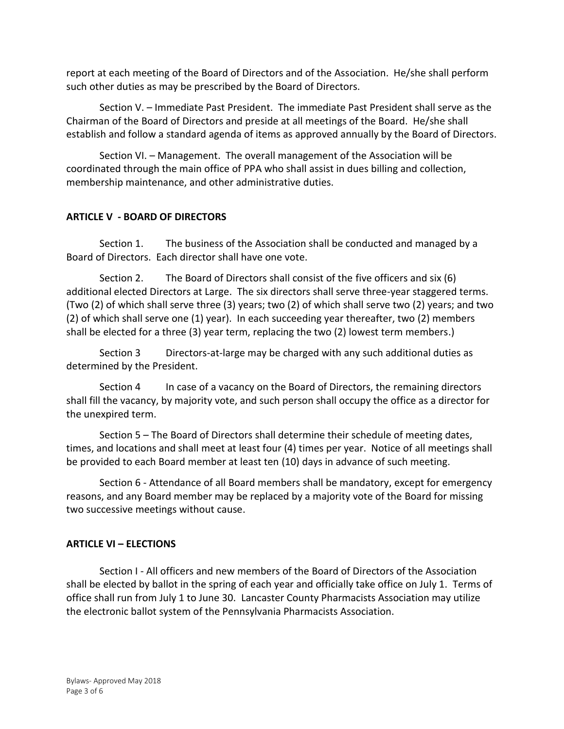report at each meeting of the Board of Directors and of the Association. He/she shall perform such other duties as may be prescribed by the Board of Directors.

Section V. – Immediate Past President. The immediate Past President shall serve as the Chairman of the Board of Directors and preside at all meetings of the Board. He/she shall establish and follow a standard agenda of items as approved annually by the Board of Directors.

Section VI. – Management. The overall management of the Association will be coordinated through the main office of PPA who shall assist in dues billing and collection, membership maintenance, and other administrative duties.

# **ARTICLE V - BOARD OF DIRECTORS**

Section 1. The business of the Association shall be conducted and managed by a Board of Directors. Each director shall have one vote.

Section 2. The Board of Directors shall consist of the five officers and six (6) additional elected Directors at Large. The six directors shall serve three-year staggered terms. (Two (2) of which shall serve three (3) years; two (2) of which shall serve two (2) years; and two (2) of which shall serve one (1) year). In each succeeding year thereafter, two (2) members shall be elected for a three (3) year term, replacing the two (2) lowest term members.)

Section 3 Directors-at-large may be charged with any such additional duties as determined by the President.

Section 4 In case of a vacancy on the Board of Directors, the remaining directors shall fill the vacancy, by majority vote, and such person shall occupy the office as a director for the unexpired term.

Section 5 – The Board of Directors shall determine their schedule of meeting dates, times, and locations and shall meet at least four (4) times per year. Notice of all meetings shall be provided to each Board member at least ten (10) days in advance of such meeting.

Section 6 - Attendance of all Board members shall be mandatory, except for emergency reasons, and any Board member may be replaced by a majority vote of the Board for missing two successive meetings without cause.

# **ARTICLE VI – ELECTIONS**

Section I - All officers and new members of the Board of Directors of the Association shall be elected by ballot in the spring of each year and officially take office on July 1. Terms of office shall run from July 1 to June 30. Lancaster County Pharmacists Association may utilize the electronic ballot system of the Pennsylvania Pharmacists Association.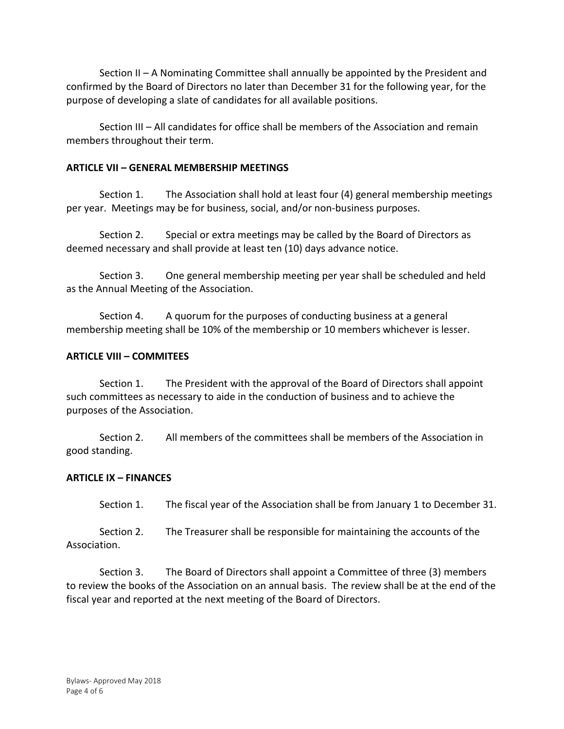Section II – A Nominating Committee shall annually be appointed by the President and confirmed by the Board of Directors no later than December 31 for the following year, for the purpose of developing a slate of candidates for all available positions.

Section III – All candidates for office shall be members of the Association and remain members throughout their term.

## **ARTICLE VII – GENERAL MEMBERSHIP MEETINGS**

Section 1. The Association shall hold at least four (4) general membership meetings per year. Meetings may be for business, social, and/or non-business purposes.

Section 2. Special or extra meetings may be called by the Board of Directors as deemed necessary and shall provide at least ten (10) days advance notice.

Section 3. One general membership meeting per year shall be scheduled and held as the Annual Meeting of the Association.

Section 4. A quorum for the purposes of conducting business at a general membership meeting shall be 10% of the membership or 10 members whichever is lesser.

## **ARTICLE VIII – COMMITEES**

Section 1. The President with the approval of the Board of Directors shall appoint such committees as necessary to aide in the conduction of business and to achieve the purposes of the Association.

Section 2. All members of the committees shall be members of the Association in good standing.

#### **ARTICLE IX – FINANCES**

Section 1. The fiscal year of the Association shall be from January 1 to December 31.

Section 2. The Treasurer shall be responsible for maintaining the accounts of the Association.

Section 3. The Board of Directors shall appoint a Committee of three (3) members to review the books of the Association on an annual basis. The review shall be at the end of the fiscal year and reported at the next meeting of the Board of Directors.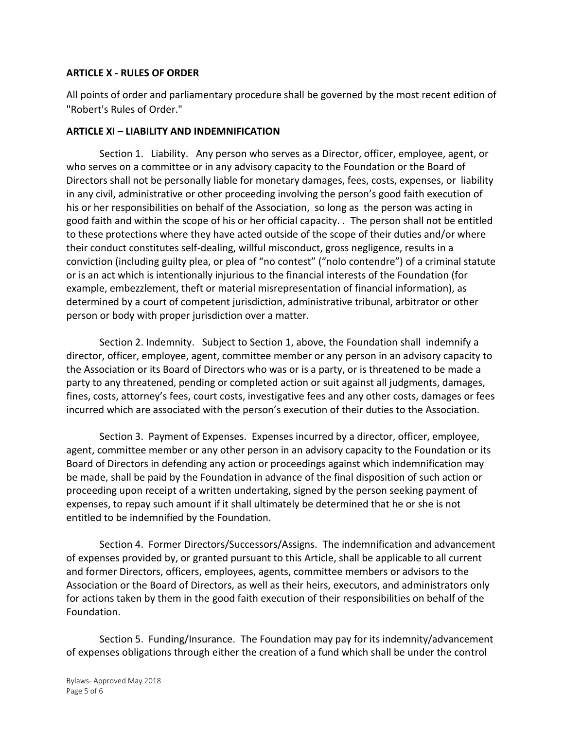## **ARTICLE X - RULES OF ORDER**

All points of order and parliamentary procedure shall be governed by the most recent edition of "Robert's Rules of Order."

## **ARTICLE XI – LIABILITY AND INDEMNIFICATION**

Section 1. Liability. Any person who serves as a Director, officer, employee, agent, or who serves on a committee or in any advisory capacity to the Foundation or the Board of Directors shall not be personally liable for monetary damages, fees, costs, expenses, or liability in any civil, administrative or other proceeding involving the person's good faith execution of his or her responsibilities on behalf of the Association, so long as the person was acting in good faith and within the scope of his or her official capacity. . The person shall not be entitled to these protections where they have acted outside of the scope of their duties and/or where their conduct constitutes self-dealing, willful misconduct, gross negligence, results in a conviction (including guilty plea, or plea of "no contest" ("nolo contendre") of a criminal statute or is an act which is intentionally injurious to the financial interests of the Foundation (for example, embezzlement, theft or material misrepresentation of financial information), as determined by a court of competent jurisdiction, administrative tribunal, arbitrator or other person or body with proper jurisdiction over a matter.

Section 2. Indemnity. Subject to Section 1, above, the Foundation shall indemnify a director, officer, employee, agent, committee member or any person in an advisory capacity to the Association or its Board of Directors who was or is a party, or is threatened to be made a party to any threatened, pending or completed action or suit against all judgments, damages, fines, costs, attorney's fees, court costs, investigative fees and any other costs, damages or fees incurred which are associated with the person's execution of their duties to the Association.

Section 3. Payment of Expenses. Expenses incurred by a director, officer, employee, agent, committee member or any other person in an advisory capacity to the Foundation or its Board of Directors in defending any action or proceedings against which indemnification may be made, shall be paid by the Foundation in advance of the final disposition of such action or proceeding upon receipt of a written undertaking, signed by the person seeking payment of expenses, to repay such amount if it shall ultimately be determined that he or she is not entitled to be indemnified by the Foundation.

Section 4. Former Directors/Successors/Assigns. The indemnification and advancement of expenses provided by, or granted pursuant to this Article, shall be applicable to all current and former Directors, officers, employees, agents, committee members or advisors to the Association or the Board of Directors, as well as their heirs, executors, and administrators only for actions taken by them in the good faith execution of their responsibilities on behalf of the Foundation.

Section 5. Funding/Insurance.The Foundation may pay for its indemnity/advancement of expenses obligations through either the creation of a fund which shall be under the control